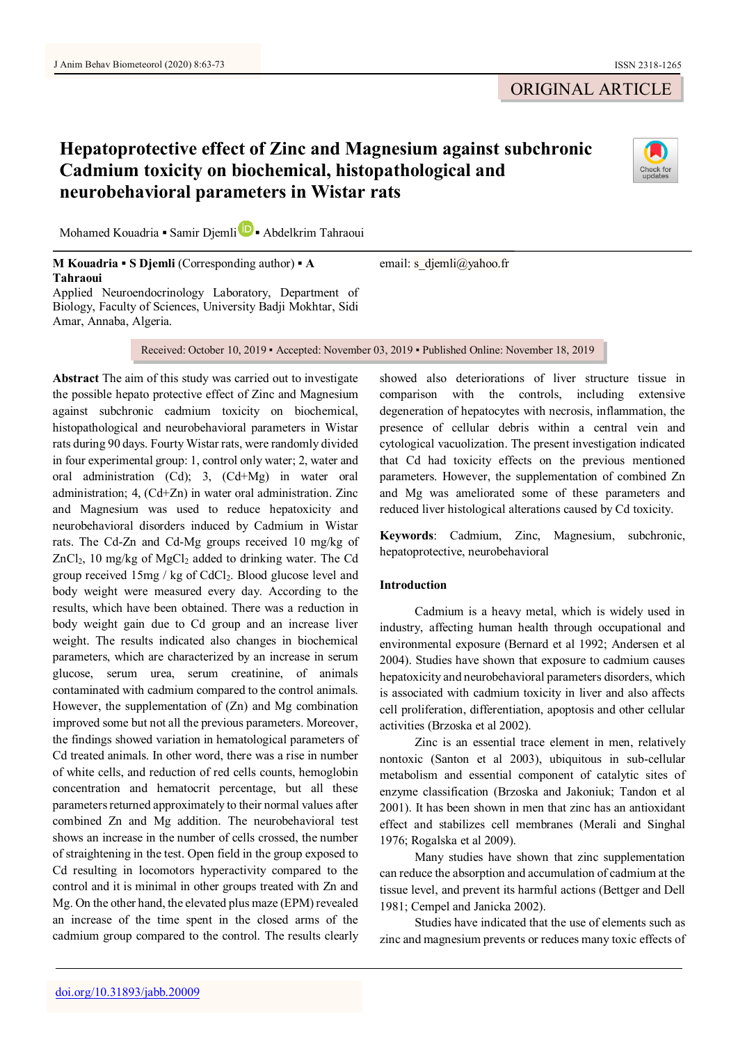# **Hepatoprotective effect of Zinc and Magnesium against subchronic Cadmium toxicity on biochemical, histopathological and neurobehavioral parameters in Wistar rats**



Mohamed Kouadria **▪** Samir Djeml[i](https://orcid.org/0000-0003-4240-0179) **▪** Abdelkrim Tahraoui

**M Kouadria ▪ S Djemli** (Corresponding author) **▪ A Tahraoui**

Applied Neuroendocrinology Laboratory, Department of Biology, Faculty of Sciences, University Badji Mokhtar, Sidi Amar, Annaba, Algeria.

Received: October 10, 2019 ▪ Accepted: November 03, 2019 ▪ Published Online: November 18, 2019

email: s djemli@yahoo.fr

**Abstract** The aim of this study was carried out to investigate the possible hepato protective effect of Zinc and Magnesium against subchronic cadmium toxicity on biochemical, histopathological and neurobehavioral parameters in Wistar rats during 90 days. Fourty Wistar rats, were randomly divided in four experimental group: 1, control only water; 2, water and oral administration (Cd); 3, (Cd+Mg) in water oral administration; 4, (Cd+Zn) in water oral administration. Zinc and Magnesium was used to reduce hepatoxicity and neurobehavioral disorders induced by Cadmium in Wistar rats. The Cd-Zn and Cd-Mg groups received 10 mg/kg of ZnCl<sub>2</sub>, 10 mg/kg of MgCl<sub>2</sub> added to drinking water. The Cd group received 15mg / kg of CdCl2. Blood glucose level and body weight were measured every day. According to the results, which have been obtained. There was a reduction in body weight gain due to Cd group and an increase liver weight. The results indicated also changes in biochemical parameters, which are characterized by an increase in serum glucose, serum urea, serum creatinine, of animals contaminated with cadmium compared to the control animals. However, the supplementation of (Zn) and Mg combination improved some but not all the previous parameters. Moreover, the findings showed variation in hematological parameters of Cd treated animals. In other word, there was a rise in number of white cells, and reduction of red cells counts, hemoglobin concentration and hematocrit percentage, but all these parameters returned approximately to their normal values after combined Zn and Mg addition. The neurobehavioral test shows an increase in the number of cells crossed, the number of straightening in the test. Open field in the group exposed to Cd resulting in locomotors hyperactivity compared to the control and it is minimal in other groups treated with Zn and Mg. On the other hand, the elevated plus maze (EPM) revealed an increase of the time spent in the closed arms of the cadmium group compared to the control. The results clearly

showed also deteriorations of liver structure tissue in comparison with the controls, including extensive degeneration of hepatocytes with necrosis, inflammation, the presence of cellular debris within a central vein and cytological vacuolization. The present investigation indicated that Cd had toxicity effects on the previous mentioned parameters. However, the supplementation of combined Zn and Mg was ameliorated some of these parameters and reduced liver histological alterations caused by Cd toxicity.

**Keywords**: Cadmium, Zinc, Magnesium, subchronic, hepatoprotective, neurobehavioral

# **Introduction**

Cadmium is a heavy metal, which is widely used in industry, affecting human health through occupational and environmental exposure (Bernard et al 1992; Andersen et al 2004). Studies have shown that exposure to cadmium causes hepatoxicity and neurobehavioral parameters disorders, which is associated with cadmium toxicity in liver and also affects cell proliferation, differentiation, apoptosis and other cellular activities (Brzoska et al 2002).

Zinc is an essential trace element in men, relatively nontoxic (Santon et al 2003), ubiquitous in sub-cellular metabolism and essential component of catalytic sites of enzyme classification (Brzoska and Jakoniuk; Tandon et al 2001). It has been shown in men that zinc has an antioxidant effect and stabilizes cell membranes (Merali and Singhal 1976; Rogalska et al 2009).

Many studies have shown that zinc supplementation can reduce the absorption and accumulation of cadmium at the tissue level, and prevent its harmful actions (Bettger and Dell 1981; Cempel and Janicka 2002).

Studies have indicated that the use of elements such as zinc and magnesium prevents or reduces many toxic effects of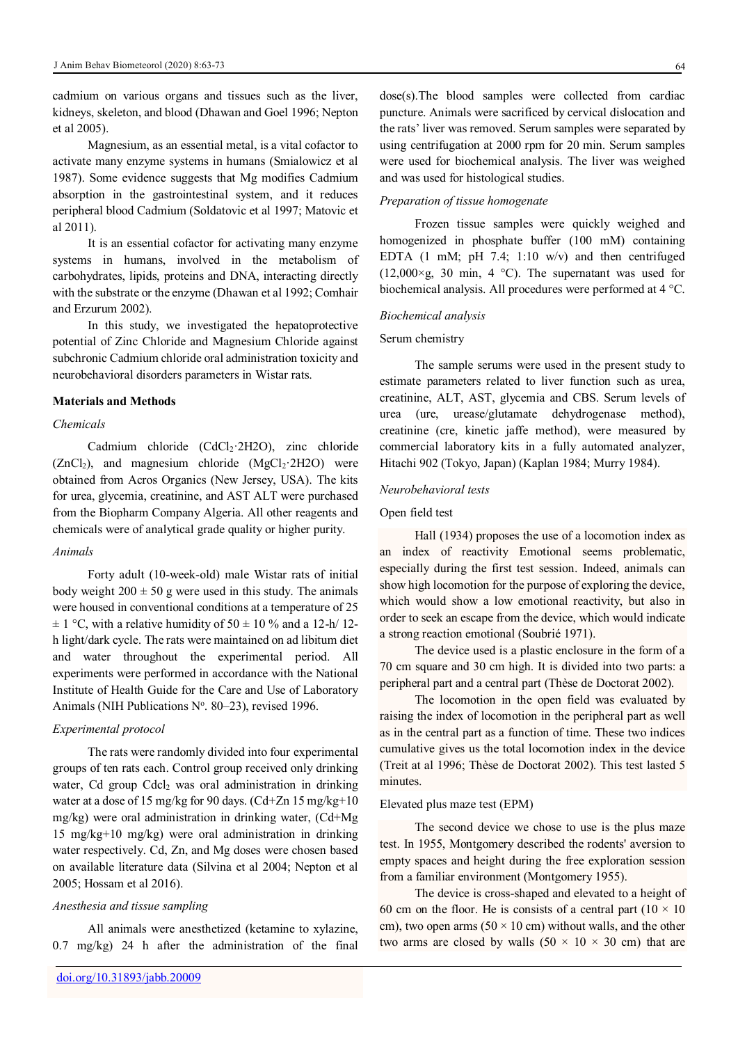cadmium on various organs and tissues such as the liver, kidneys, skeleton, and blood (Dhawan and Goel 1996; Nepton et al 2005).

Magnesium, as an essential metal, is a vital cofactor to activate many enzyme systems in humans (Smialowicz et al 1987). Some evidence suggests that Mg modifies Cadmium absorption in the gastrointestinal system, and it reduces peripheral blood Cadmium (Soldatovic et al 1997; Matovic et al 2011).

It is an essential cofactor for activating many enzyme systems in humans, involved in the metabolism of carbohydrates, lipids, proteins and DNA, interacting directly with the substrate or the enzyme (Dhawan et al 1992; Comhair and Erzurum 2002).

In this study, we investigated the hepatoprotective potential of Zinc Chloride and Magnesium Chloride against subchronic Cadmium chloride oral administration toxicity and neurobehavioral disorders parameters in Wistar rats.

# **Materials and Methods**

# *Chemicals*

Cadmium chloride (CdCl<sub>2</sub>·2H2O), zinc chloride  $(ZnCl<sub>2</sub>)$ , and magnesium chloride  $(MgCl<sub>2</sub> 2H2O)$  were obtained from Acros Organics (New Jersey, USA). The kits for urea, glycemia, creatinine, and AST ALT were purchased from the Biopharm Company Algeria. All other reagents and chemicals were of analytical grade quality or higher purity.

## *Animals*

Forty adult (10-week-old) male Wistar rats of initial body weight  $200 \pm 50$  g were used in this study. The animals were housed in conventional conditions at a temperature of 25  $\pm$  1 °C, with a relative humidity of 50  $\pm$  10 % and a 12-h/ 12h light/dark cycle. The rats were maintained on ad libitum diet and water throughout the experimental period. All experiments were performed in accordance with the National Institute of Health Guide for the Care and Use of Laboratory Animals (NIH Publications  $N^{\circ}$ . 80–23), revised 1996.

# *Experimental protocol*

The rats were randomly divided into four experimental groups of ten rats each. Control group received only drinking water, Cd group Cdcl<sub>2</sub> was oral administration in drinking water at a dose of 15 mg/kg for 90 days. (Cd+Zn 15 mg/kg+10 mg/kg) were oral administration in drinking water, (Cd+Mg 15 mg/kg+10 mg/kg) were oral administration in drinking water respectively. Cd, Zn, and Mg doses were chosen based on available literature data (Silvina et al 2004; Nepton et al 2005; Hossam et al 2016).

# *Anesthesia and tissue sampling*

All animals were anesthetized (ketamine to xylazine, 0.7 mg/kg) 24 h after the administration of the final

# and was used for histological studies. *Preparation of tissue homogenate*

Frozen tissue samples were quickly weighed and homogenized in phosphate buffer (100 mM) containing EDTA  $(1 \text{ mM}; \text{ pH } 7.4; 1:10 \text{ w/v})$  and then centrifuged  $(12,000\times g, 30 \text{ min}, 4 \text{ }^{\circ}\text{C})$ . The supernatant was used for biochemical analysis. All procedures were performed at 4 °C.

using centrifugation at 2000 rpm for 20 min. Serum samples were used for biochemical analysis. The liver was weighed

#### *Biochemical analysis*

# Serum chemistry

The sample serums were used in the present study to estimate parameters related to liver function such as urea, creatinine, ALT, AST, glycemia and CBS. Serum levels of urea (ure, urease/glutamate dehydrogenase method), creatinine (cre, kinetic jaffe method), were measured by commercial laboratory kits in a fully automated analyzer, Hitachi 902 (Tokyo, Japan) (Kaplan 1984; Murry 1984).

#### *Neurobehavioral tests*

# Open field test

Hall (1934) proposes the use of a locomotion index as an index of reactivity Emotional seems problematic, especially during the first test session. Indeed, animals can show high locomotion for the purpose of exploring the device, which would show a low emotional reactivity, but also in order to seek an escape from the device, which would indicate a strong reaction emotional (Soubrié 1971).

The device used is a plastic enclosure in the form of a 70 cm square and 30 cm high. It is divided into two parts: a peripheral part and a central part (Thèse de Doctorat 2002).

The locomotion in the open field was evaluated by raising the index of locomotion in the peripheral part as well as in the central part as a function of time. These two indices cumulative gives us the total locomotion index in the device (Treit at al 1996; Thèse de Doctorat 2002). This test lasted 5 minutes.

## Elevated plus maze test (EPM)

The second device we chose to use is the plus maze test. In 1955, Montgomery described the rodents' aversion to empty spaces and height during the free exploration session from a familiar environment (Montgomery 1955).

The device is cross-shaped and elevated to a height of 60 cm on the floor. He is consists of a central part  $(10 \times 10)$ cm), two open arms (50  $\times$  10 cm) without walls, and the other two arms are closed by walls  $(50 \times 10 \times 30 \text{ cm})$  that are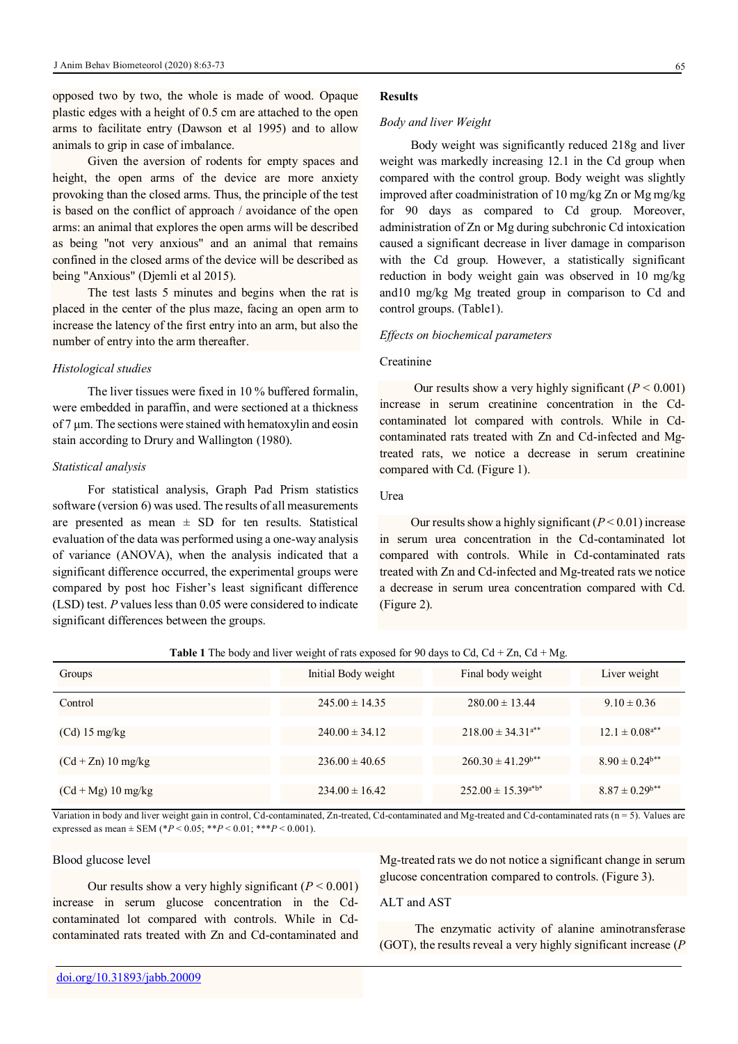opposed two by two, the whole is made of wood. Opaque plastic edges with a height of 0.5 cm are attached to the open arms to facilitate entry (Dawson et al 1995) and to allow animals to grip in case of imbalance.

Given the aversion of rodents for empty spaces and height, the open arms of the device are more anxiety provoking than the closed arms. Thus, the principle of the test is based on the conflict of approach / avoidance of the open arms: an animal that explores the open arms will be described as being "not very anxious" and an animal that remains confined in the closed arms of the device will be described as being "Anxious" (Djemli et al 2015).

The test lasts 5 minutes and begins when the rat is placed in the center of the plus maze, facing an open arm to increase the latency of the first entry into an arm, but also the number of entry into the arm thereafter.

#### *Histological studies*

The liver tissues were fixed in 10 % buffered formalin, were embedded in paraffin, and were sectioned at a thickness of 7 μm. The sections were stained with hematoxylin and eosin stain according to Drury and Wallington (1980).

### *Statistical analysis*

For statistical analysis, Graph Pad Prism statistics software (version 6) was used. The results of all measurements are presented as mean  $\pm$  SD for ten results. Statistical evaluation of the data was performed using a one-way analysis of variance (ANOVA), when the analysis indicated that a significant difference occurred, the experimental groups were compared by post hoc Fisher's least significant difference (LSD) test. *P* values less than 0.05 were considered to indicate significant differences between the groups.

#### **Results**

#### *Body and liver Weight*

 Body weight was significantly reduced 218g and liver weight was markedly increasing 12.1 in the Cd group when compared with the control group. Body weight was slightly improved after coadministration of 10 mg/kg Zn or Mg mg/kg for 90 days as compared to Cd group. Moreover, administration of Zn or Mg during subchronic Cd intoxication caused a significant decrease in liver damage in comparison with the Cd group. However, a statistically significant reduction in body weight gain was observed in 10 mg/kg and10 mg/kg Mg treated group in comparison to Cd and control groups. (Table1).

# *Effects on biochemical parameters*

# **Creatinine**

Our results show a very highly significant  $(P < 0.001)$ increase in serum creatinine concentration in the Cdcontaminated lot compared with controls. While in Cdcontaminated rats treated with Zn and Cd-infected and Mgtreated rats, we notice a decrease in serum creatinine compared with Cd. (Figure 1).

# Urea

Our results show a highly significant  $(P < 0.01)$  increase in serum urea concentration in the Cd-contaminated lot compared with controls. While in Cd-contaminated rats treated with Zn and Cd-infected and Mg-treated rats we notice a decrease in serum urea concentration compared with Cd. (Figure 2).

| Groups               | Initial Body weight | Final body weight         | Liver weight                   |
|----------------------|---------------------|---------------------------|--------------------------------|
| Control              | $245.00 \pm 14.35$  | $280.00 \pm 13.44$        | $9.10 \pm 0.36$                |
| $(Cd)$ 15 mg/kg      | $240.00 \pm 34.12$  | $218.00 \pm 34.31^{4*}$   | $12.1 \pm 0.08$ <sup>a**</sup> |
| $(Cd + Zn)$ 10 mg/kg | $236.00 \pm 40.65$  | $260.30 \pm 41.29^{b**}$  | $8.90 \pm 0.24$ <sup>b**</sup> |
| $(Cd + Mg)$ 10 mg/kg | $234.00 \pm 16.42$  | $252.00 \pm 15.39^{a*b*}$ | $8.87 \pm 0.29$ <sup>b**</sup> |

|  |  |  |  | <b>Table 1</b> The body and liver weight of rats exposed for 90 days to Cd, Cd + Zn, Cd + Mg. |  |  |  |  |
|--|--|--|--|-----------------------------------------------------------------------------------------------|--|--|--|--|
|--|--|--|--|-----------------------------------------------------------------------------------------------|--|--|--|--|

Variation in body and liver weight gain in control, Cd-contaminated, Zn-treated, Cd-contaminated and Mg-treated and Cd-contaminated rats (n = 5). Values are expressed as mean  $\pm$  SEM (\**P* < 0.05; \*\**P* < 0.01; \*\*\**P* < 0.001).

# Blood glucose level

Our results show a very highly significant  $(P < 0.001)$ increase in serum glucose concentration in the Cdcontaminated lot compared with controls. While in Cdcontaminated rats treated with Zn and Cd-contaminated and Mg-treated rats we do not notice a significant change in serum glucose concentration compared to controls. (Figure 3).

# ALT and AST

The enzymatic activity of alanine aminotransferase (GOT), the results reveal a very highly significant increase (*P*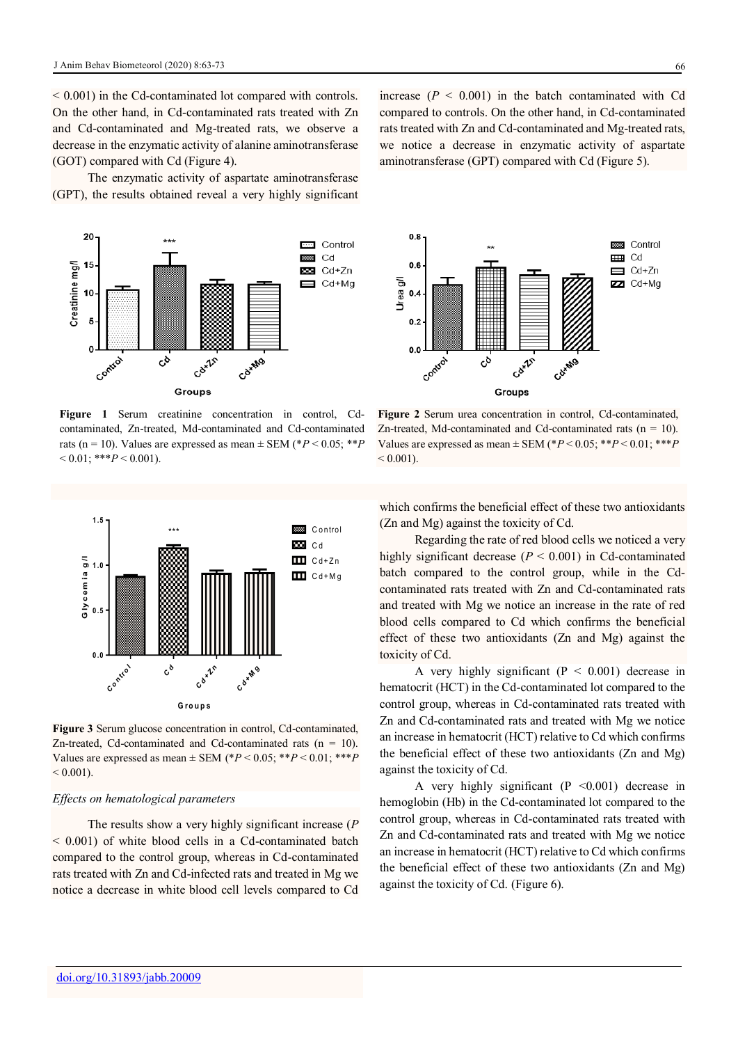$\leq 0.001$ ) in the Cd-contaminated lot compared with controls. On the other hand, in Cd-contaminated rats treated with Zn and Cd-contaminated and Mg-treated rats, we observe a decrease in the enzymatic activity of alanine aminotransferase (GOT) compared with Cd (Figure 4).

The enzymatic activity of aspartate aminotransferase (GPT), the results obtained reveal a very highly significant



**Figure 1** Serum creatinine concentration in control, Cdcontaminated, Zn-treated, Md-contaminated and Cd-contaminated rats (n = 10). Values are expressed as mean  $\pm$  SEM (\**P* < 0.05; \*\**P*  $< 0.01$ : \*\*\**P*  $< 0.001$ ).



**Figure 3** Serum glucose concentration in control, Cd-contaminated, Zn-treated, Cd-contaminated and Cd-contaminated rats  $(n = 10)$ . Values are expressed as mean ± SEM (\**P* < 0.05; \*\**P* < 0.01; \*\*\**P*  $< 0.001$ ).

#### *Effects on hematological parameters*

The results show a very highly significant increase (*P*  $\leq$  0.001) of white blood cells in a Cd-contaminated batch compared to the control group, whereas in Cd-contaminated rats treated with Zn and Cd-infected rats and treated in Mg we notice a decrease in white blood cell levels compared to Cd

increase  $(P < 0.001)$  in the batch contaminated with Cd compared to controls. On the other hand, in Cd-contaminated rats treated with Zn and Cd-contaminated and Mg-treated rats, we notice a decrease in enzymatic activity of aspartate aminotransferase (GPT) compared with Cd (Figure 5).



**Figure 2** Serum urea concentration in control, Cd-contaminated, Zn-treated, Md-contaminated and Cd-contaminated rats  $(n = 10)$ . Values are expressed as mean  $\pm$  SEM (\* $P$  < 0.05; \*\* $P$  < 0.01; \*\*\* $P$  $< 0.001$ ).

which confirms the beneficial effect of these two antioxidants (Zn and Mg) against the toxicity of Cd.

Regarding the rate of red blood cells we noticed a very highly significant decrease  $(P < 0.001)$  in Cd-contaminated batch compared to the control group, while in the Cdcontaminated rats treated with Zn and Cd-contaminated rats and treated with Mg we notice an increase in the rate of red blood cells compared to Cd which confirms the beneficial effect of these two antioxidants (Zn and Mg) against the toxicity of Cd.

A very highly significant  $(P < 0.001)$  decrease in hematocrit (HCT) in the Cd-contaminated lot compared to the control group, whereas in Cd-contaminated rats treated with Zn and Cd-contaminated rats and treated with Mg we notice an increase in hematocrit (HCT) relative to Cd which confirms the beneficial effect of these two antioxidants (Zn and Mg) against the toxicity of Cd.

A very highly significant  $(P \le 0.001)$  decrease in hemoglobin (Hb) in the Cd-contaminated lot compared to the control group, whereas in Cd-contaminated rats treated with Zn and Cd-contaminated rats and treated with Mg we notice an increase in hematocrit (HCT) relative to Cd which confirms the beneficial effect of these two antioxidants (Zn and Mg) against the toxicity of Cd. (Figure 6).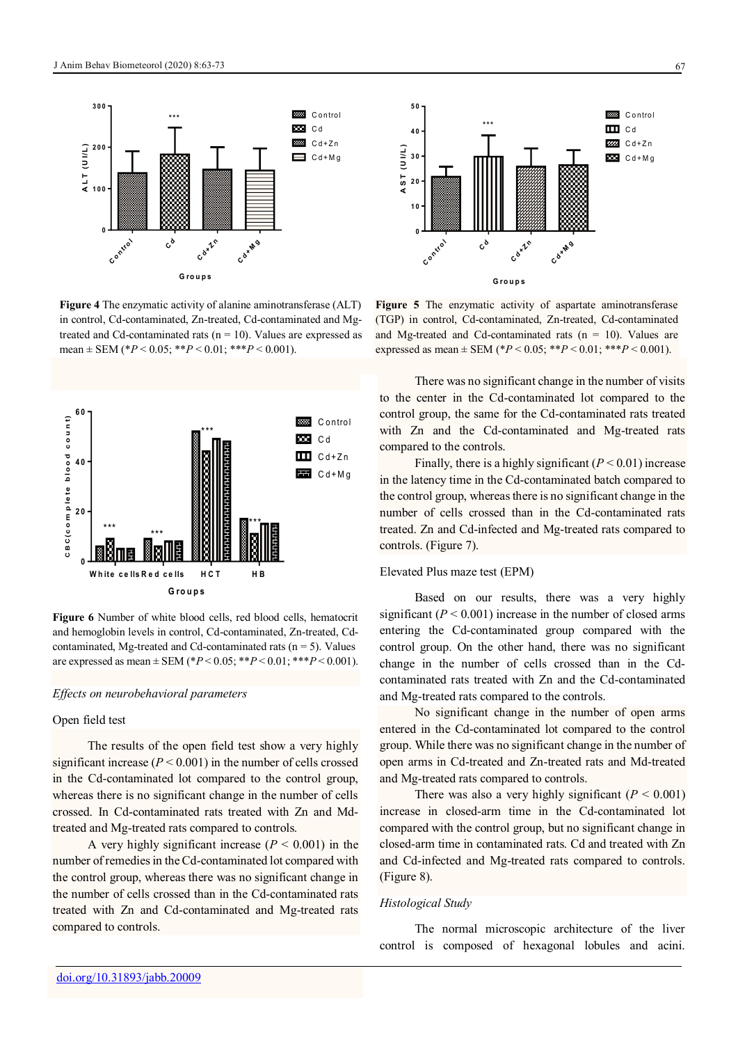

**Figure 4** The enzymatic activity of alanine aminotransferase (ALT) in control, Cd-contaminated, Zn-treated, Cd-contaminated and Mgtreated and Cd-contaminated rats ( $n = 10$ ). Values are expressed as mean  $\pm$  SEM (\* $P < 0.05$ ; \*\* $P < 0.01$ ; \*\*\* $P < 0.001$ ).



**Figure 6** Number of white blood cells, red blood cells, hematocrit and hemoglobin levels in control, Cd-contaminated, Zn-treated, Cdcontaminated, Mg-treated and Cd-contaminated rats  $(n = 5)$ . Values are expressed as mean  $\pm$  SEM (\* $P$  < 0.05; \*\* $P$  < 0.01; \*\*\* $P$  < 0.001).

# *Effects on neurobehavioral parameters*

# Open field test

The results of the open field test show a very highly significant increase  $(P < 0.001)$  in the number of cells crossed in the Cd-contaminated lot compared to the control group, whereas there is no significant change in the number of cells crossed. In Cd-contaminated rats treated with Zn and Mdtreated and Mg-treated rats compared to controls.

A very highly significant increase  $(P < 0.001)$  in the number of remedies in the Cd-contaminated lot compared with the control group, whereas there was no significant change in the number of cells crossed than in the Cd-contaminated rats treated with Zn and Cd-contaminated and Mg-treated rats compared to controls.



**Figure 5** The enzymatic activity of aspartate aminotransferase (TGP) in control, Cd-contaminated, Zn-treated, Cd-contaminated and Mg-treated and Cd-contaminated rats  $(n = 10)$ . Values are expressed as mean  $\pm$  SEM (\* $P < 0.05$ ; \*\* $P < 0.01$ ; \*\*\* $P < 0.001$ ).

There was no significant change in the number of visits to the center in the Cd-contaminated lot compared to the control group, the same for the Cd-contaminated rats treated with Zn and the Cd-contaminated and Mg-treated rats compared to the controls.

Finally, there is a highly significant  $(P < 0.01)$  increase in the latency time in the Cd-contaminated batch compared to the control group, whereas there is no significant change in the number of cells crossed than in the Cd-contaminated rats treated. Zn and Cd-infected and Mg-treated rats compared to controls. (Figure 7).

# Elevated Plus maze test (EPM)

Based on our results, there was a very highly significant ( $P < 0.001$ ) increase in the number of closed arms entering the Cd-contaminated group compared with the control group. On the other hand, there was no significant change in the number of cells crossed than in the Cdcontaminated rats treated with Zn and the Cd-contaminated and Mg-treated rats compared to the controls.

No significant change in the number of open arms entered in the Cd-contaminated lot compared to the control group. While there was no significant change in the number of open arms in Cd-treated and Zn-treated rats and Md-treated and Mg-treated rats compared to controls.

There was also a very highly significant  $(P < 0.001)$ increase in closed-arm time in the Cd-contaminated lot compared with the control group, but no significant change in closed-arm time in contaminated rats. Cd and treated with Zn and Cd-infected and Mg-treated rats compared to controls. (Figure 8).

#### *Histological Study*

The normal microscopic architecture of the liver control is composed of hexagonal lobules and acini.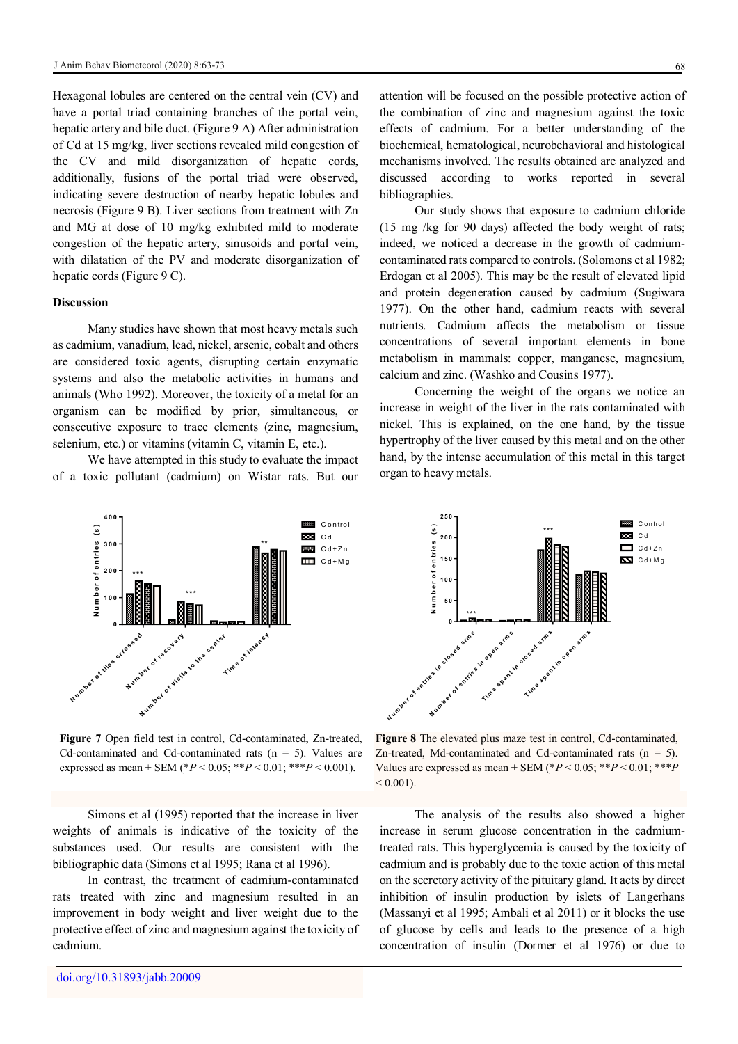Hexagonal lobules are centered on the central vein (CV) and have a portal triad containing branches of the portal vein, hepatic artery and bile duct. (Figure 9 A) After administration of Cd at 15 mg/kg, liver sections revealed mild congestion of the CV and mild disorganization of hepatic cords, additionally, fusions of the portal triad were observed, indicating severe destruction of nearby hepatic lobules and necrosis (Figure 9 B). Liver sections from treatment with Zn and MG at dose of 10 mg/kg exhibited mild to moderate congestion of the hepatic artery, sinusoids and portal vein, with dilatation of the PV and moderate disorganization of hepatic cords (Figure 9 C).

#### **Discussion**

Many studies have shown that most heavy metals such as cadmium, vanadium, lead, nickel, arsenic, cobalt and others are considered toxic agents, disrupting certain enzymatic systems and also the metabolic activities in humans and animals (Who 1992). Moreover, the toxicity of a metal for an organism can be modified by prior, simultaneous, or consecutive exposure to trace elements (zinc, magnesium, selenium, etc.) or vitamins (vitamin C, vitamin E, etc.).

We have attempted in this study to evaluate the impact of a toxic pollutant (cadmium) on Wistar rats. But our



**Figure 7** Open field test in control, Cd-contaminated, Zn-treated, Cd-contaminated and Cd-contaminated rats  $(n = 5)$ . Values are expressed as mean  $\pm$  SEM (\**P* < 0.05; \*\**P* < 0.01; \*\*\**P* < 0.001).

Simons et al (1995) reported that the increase in liver weights of animals is indicative of the toxicity of the substances used. Our results are consistent with the bibliographic data (Simons et al 1995; Rana et al 1996).

In contrast, the treatment of cadmium-contaminated rats treated with zinc and magnesium resulted in an improvement in body weight and liver weight due to the protective effect of zinc and magnesium against the toxicity of cadmium.

attention will be focused on the possible protective action of the combination of zinc and magnesium against the toxic effects of cadmium. For a better understanding of the biochemical, hematological, neurobehavioral and histological mechanisms involved. The results obtained are analyzed and discussed according to works reported in several bibliographies.

Our study shows that exposure to cadmium chloride (15 mg /kg for 90 days) affected the body weight of rats; indeed, we noticed a decrease in the growth of cadmiumcontaminated rats compared to controls. (Solomons et al 1982; Erdogan et al 2005). This may be the result of elevated lipid and protein degeneration caused by cadmium (Sugiwara 1977). On the other hand, cadmium reacts with several nutrients. Cadmium affects the metabolism or tissue concentrations of several important elements in bone metabolism in mammals: copper, manganese, magnesium, calcium and zinc. (Washko and Cousins 1977).

Concerning the weight of the organs we notice an increase in weight of the liver in the rats contaminated with nickel. This is explained, on the one hand, by the tissue hypertrophy of the liver caused by this metal and on the other hand, by the intense accumulation of this metal in this target organ to heavy metals.



**Figure 8** The elevated plus maze test in control, Cd-contaminated, Zn-treated, Md-contaminated and Cd-contaminated rats  $(n = 5)$ . Values are expressed as mean  $\pm$  SEM (\* $P < 0.05$ ; \*\* $P < 0.01$ ; \*\*\* $P$  $< 0.001$ ).

The analysis of the results also showed a higher increase in serum glucose concentration in the cadmiumtreated rats. This hyperglycemia is caused by the toxicity of cadmium and is probably due to the toxic action of this metal on the secretory activity of the pituitary gland. It acts by direct inhibition of insulin production by islets of Langerhans (Massanyi et al 1995; Ambali et al 2011) or it blocks the use of glucose by cells and leads to the presence of a high concentration of insulin (Dormer et al 1976) or due to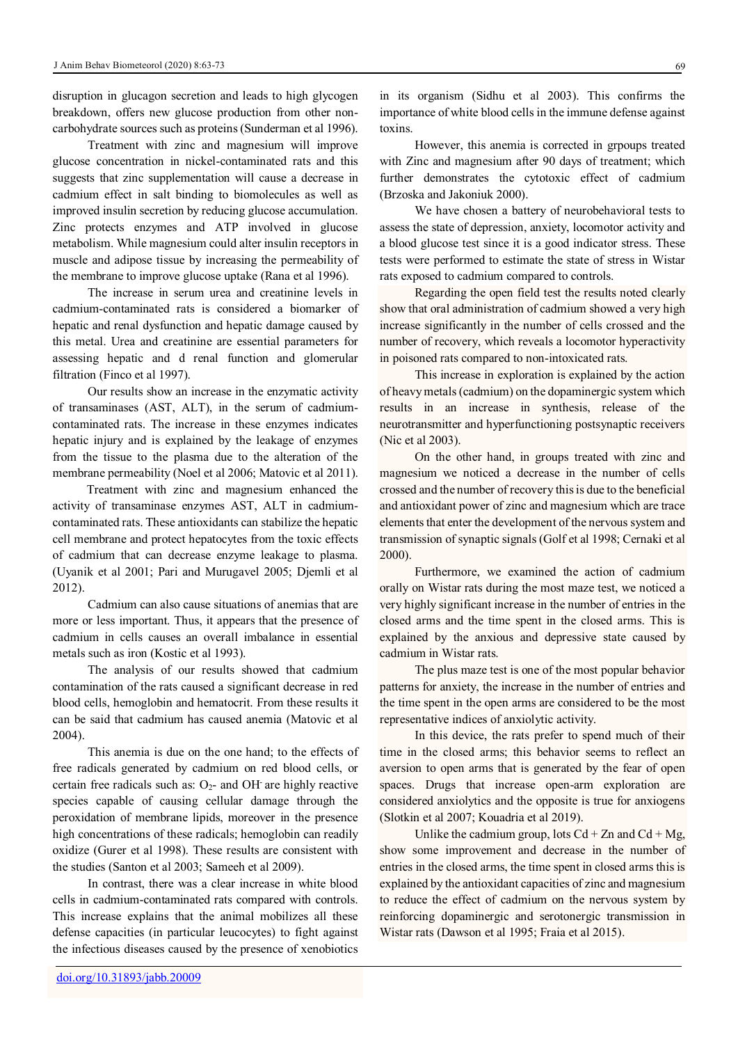disruption in glucagon secretion and leads to high glycogen breakdown, offers new glucose production from other noncarbohydrate sources such as proteins (Sunderman et al 1996).

Treatment with zinc and magnesium will improve glucose concentration in nickel-contaminated rats and this suggests that zinc supplementation will cause a decrease in cadmium effect in salt binding to biomolecules as well as improved insulin secretion by reducing glucose accumulation. Zinc protects enzymes and ATP involved in glucose metabolism. While magnesium could alter insulin receptors in muscle and adipose tissue by increasing the permeability of the membrane to improve glucose uptake (Rana et al 1996).

The increase in serum urea and creatinine levels in cadmium-contaminated rats is considered a biomarker of hepatic and renal dysfunction and hepatic damage caused by this metal. Urea and creatinine are essential parameters for assessing hepatic and d renal function and glomerular filtration (Finco et al 1997).

Our results show an increase in the enzymatic activity of transaminases (AST, ALT), in the serum of cadmiumcontaminated rats. The increase in these enzymes indicates hepatic injury and is explained by the leakage of enzymes from the tissue to the plasma due to the alteration of the membrane permeability (Noel et al 2006; Matovic et al 2011).

 Treatment with zinc and magnesium enhanced the activity of transaminase enzymes AST, ALT in cadmiumcontaminated rats. These antioxidants can stabilize the hepatic cell membrane and protect hepatocytes from the toxic effects of cadmium that can decrease enzyme leakage to plasma. (Uyanik et al 2001; Pari and Murugavel 2005; Djemli et al 2012).

Cadmium can also cause situations of anemias that are more or less important. Thus, it appears that the presence of cadmium in cells causes an overall imbalance in essential metals such as iron (Kostic et al 1993).

The analysis of our results showed that cadmium contamination of the rats caused a significant decrease in red blood cells, hemoglobin and hematocrit. From these results it can be said that cadmium has caused anemia (Matovic et al 2004).

This anemia is due on the one hand; to the effects of free radicals generated by cadmium on red blood cells, or certain free radicals such as:  $O<sub>2</sub>$ - and OH are highly reactive species capable of causing cellular damage through the peroxidation of membrane lipids, moreover in the presence high concentrations of these radicals; hemoglobin can readily oxidize (Gurer et al 1998). These results are consistent with the studies (Santon et al 2003; Sameeh et al 2009).

In contrast, there was a clear increase in white blood cells in cadmium-contaminated rats compared with controls. This increase explains that the animal mobilizes all these defense capacities (in particular leucocytes) to fight against the infectious diseases caused by the presence of xenobiotics

in its organism (Sidhu et al 2003). This confirms the importance of white blood cells in the immune defense against toxins.

However, this anemia is corrected in grpoups treated with Zinc and magnesium after 90 days of treatment; which further demonstrates the cytotoxic effect of cadmium (Brzoska and Jakoniuk 2000).

We have chosen a battery of neurobehavioral tests to assess the state of depression, anxiety, locomotor activity and a blood glucose test since it is a good indicator stress. These tests were performed to estimate the state of stress in Wistar rats exposed to cadmium compared to controls.

Regarding the open field test the results noted clearly show that oral administration of cadmium showed a very high increase significantly in the number of cells crossed and the number of recovery, which reveals a locomotor hyperactivity in poisoned rats compared to non-intoxicated rats.

This increase in exploration is explained by the action of heavy metals (cadmium) on the dopaminergic system which results in an increase in synthesis, release of the neurotransmitter and hyperfunctioning postsynaptic receivers (Nic et al 2003).

On the other hand, in groups treated with zinc and magnesium we noticed a decrease in the number of cells crossed and the number of recovery this is due to the beneficial and antioxidant power of zinc and magnesium which are trace elements that enter the development of the nervous system and transmission of synaptic signals (Golf et al 1998; Cernaki et al 2000).

Furthermore, we examined the action of cadmium orally on Wistar rats during the most maze test, we noticed a very highly significant increase in the number of entries in the closed arms and the time spent in the closed arms. This is explained by the anxious and depressive state caused by cadmium in Wistar rats.

The plus maze test is one of the most popular behavior patterns for anxiety, the increase in the number of entries and the time spent in the open arms are considered to be the most representative indices of anxiolytic activity.

In this device, the rats prefer to spend much of their time in the closed arms; this behavior seems to reflect an aversion to open arms that is generated by the fear of open spaces. Drugs that increase open-arm exploration are considered anxiolytics and the opposite is true for anxiogens (Slotkin et al 2007; Kouadria et al 2019).

Unlike the cadmium group, lots  $Cd + Zn$  and  $Cd + Mg$ , show some improvement and decrease in the number of entries in the closed arms, the time spent in closed arms this is explained by the antioxidant capacities of zinc and magnesium to reduce the effect of cadmium on the nervous system by reinforcing dopaminergic and serotonergic transmission in Wistar rats (Dawson et al 1995; Fraia et al 2015).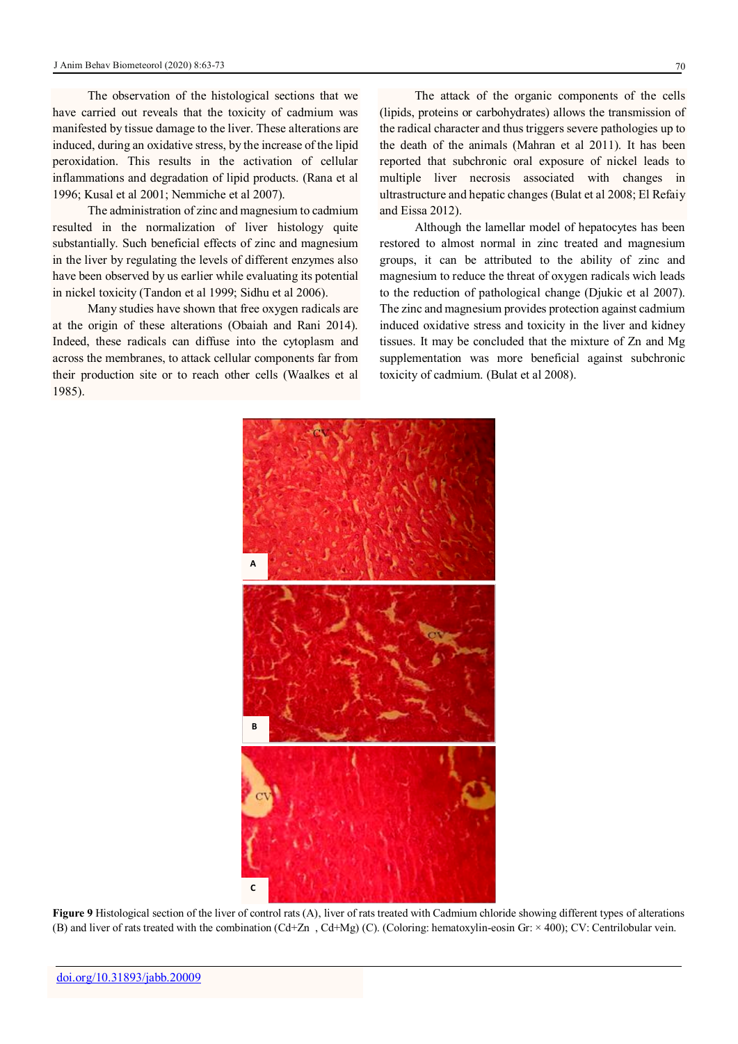The observation of the histological sections that we have carried out reveals that the toxicity of cadmium was manifested by tissue damage to the liver. These alterations are induced, during an oxidative stress, by the increase of the lipid peroxidation. This results in the activation of cellular inflammations and degradation of lipid products. (Rana et al 1996; Kusal et al 2001; Nemmiche et al 2007).

The administration of zinc and magnesium to cadmium resulted in the normalization of liver histology quite substantially. Such beneficial effects of zinc and magnesium in the liver by regulating the levels of different enzymes also have been observed by us earlier while evaluating its potential in nickel toxicity (Tandon et al 1999; Sidhu et al 2006).

Many studies have shown that free oxygen radicals are at the origin of these alterations (Obaiah and Rani 2014). Indeed, these radicals can diffuse into the cytoplasm and across the membranes, to attack cellular components far from their production site or to reach other cells (Waalkes et al 1985).

The attack of the organic components of the cells (lipids, proteins or carbohydrates) allows the transmission of the radical character and thus triggers severe pathologies up to the death of the animals (Mahran et al 2011). It has been reported that subchronic oral exposure of nickel leads to multiple liver necrosis associated with changes in ultrastructure and hepatic changes (Bulat et al 2008; El Refaiy and Eissa 2012).

Although the lamellar model of hepatocytes has been restored to almost normal in zinc treated and magnesium groups, it can be attributed to the ability of zinc and magnesium to reduce the threat of oxygen radicals wich leads to the reduction of pathological change (Djukic et al 2007). The zinc and magnesium provides protection against cadmium induced oxidative stress and toxicity in the liver and kidney tissues. It may be concluded that the mixture of Zn and Mg supplementation was more beneficial against subchronic toxicity of cadmium. (Bulat et al 2008).



**Figure 9** Histological section of the liver of control rats (A), liver of rats treated with Cadmium chloride showing different types of alterations (B) and liver of rats treated with the combination (Cd+Zn , Cd+Mg) (C). (Coloring: hematoxylin-eosin Gr: × 400); CV: Centrilobular vein.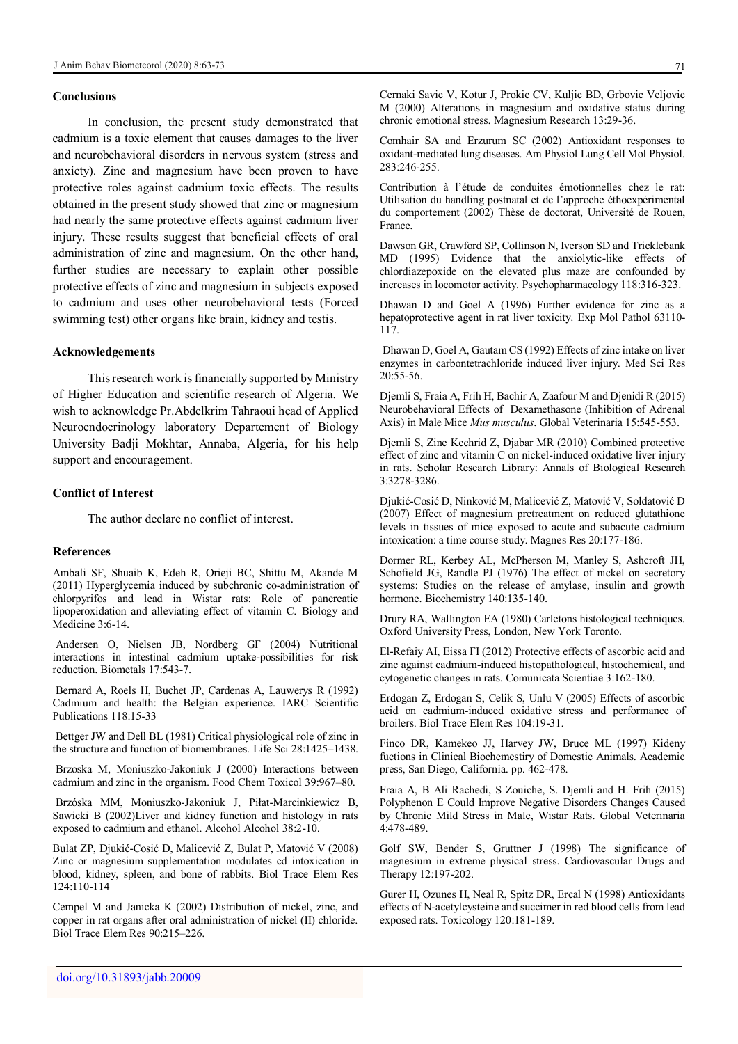#### **Conclusions**

In conclusion, the present study demonstrated that cadmium is a toxic element that causes damages to the liver and neurobehavioral disorders in nervous system (stress and anxiety). Zinc and magnesium have been proven to have protective roles against cadmium toxic effects. The results obtained in the present study showed that zinc or magnesium had nearly the same protective effects against cadmium liver injury. These results suggest that beneficial effects of oral administration of zinc and magnesium. On the other hand, further studies are necessary to explain other possible protective effects of zinc and magnesium in subjects exposed to cadmium and uses other neurobehavioral tests (Forced swimming test) other organs like brain, kidney and testis.

## **Acknowledgements**

This research work is financially supported by Ministry of Higher Education and scientific research of Algeria. We wish to acknowledge Pr.Abdelkrim Tahraoui head of Applied Neuroendocrinology laboratory Departement of Biology University Badji Mokhtar, Annaba, Algeria, for his help support and encouragement.

#### **Conflict of Interest**

The author declare no conflict of interest.

## **References**

Ambali SF, Shuaib K, Edeh R, Orieji BC, Shittu M, Akande M (2011) Hyperglycemia induced by subchronic co-administration of chlorpyrifos and lead in Wistar rats: Role of pancreatic lipoperoxidation and alleviating effect of vitamin C. Biology and Medicine 3:6-14.

Andersen O, Nielsen JB, Nordberg GF (2004) Nutritional interactions in intestinal cadmium uptake-possibilities for risk reduction. Biometals 17:543-7.

Bernard A, Roels H, Buchet JP, Cardenas A, Lauwerys R (1992) Cadmium and health: the Belgian experience. IARC Scientific Publications 118:15-33

Bettger JW and Dell BL (1981) Critical physiological role of zinc in the structure and function of biomembranes. Life Sci 28:1425–1438.

Brzoska M, Moniuszko-Jakoniuk J (2000) Interactions between cadmium and zinc in the organism. Food Chem Toxicol 39:967–80.

Brzóska MM, Moniuszko-Jakoniuk J, Piłat-Marcinkiewicz B, Sawicki B (2002)Liver and kidney function and histology in rats exposed to cadmium and ethanol. Alcohol Alcohol 38:2-10.

Bulat ZP, Djukić-Cosić D, Malicević Z, Bulat P, Matović V (2008) Zinc or magnesium supplementation modulates cd intoxication in blood, kidney, spleen, and bone of rabbits. Biol Trace Elem Res 124:110-114

Cempel M and Janicka K (2002) Distribution of nickel, zinc, and copper in rat organs after oral administration of nickel (II) chloride. Biol Trace Elem Res 90:215–226.

Comhair SA and Erzurum SC (2002) Antioxidant responses to oxidant-mediated lung diseases. Am Physiol Lung Cell Mol Physiol. 283:246-255.

Contribution à l'étude de conduites émotionnelles chez le rat: Utilisation du handling postnatal et de l'approche éthoexpérimental du comportement (2002) Thèse de doctorat, Université de Rouen, France.

Dawson GR, Crawford SP, Collinson N, Iverson SD and Tricklebank MD (1995) Evidence that the anxiolytic-like effects of chlordiazepoxide on the elevated plus maze are confounded by increases in locomotor activity. Psychopharmacology 118:316-323.

Dhawan D and Goel A (1996) Further evidence for zinc as a hepatoprotective agent in rat liver toxicity. Exp Mol Pathol 63110- 117.

Dhawan D, Goel A, Gautam CS (1992) Effects of zinc intake on liver enzymes in carbontetrachloride induced liver injury. Med Sci Res 20:55-56.

Djemli S, Fraia A, Frih H, Bachir A, Zaafour M and Djenidi R (2015) Neurobehavioral Effects of Dexamethasone (Inhibition of Adrenal Axis) in Male Mice *Mus musculus*. Global Veterinaria 15:545-553.

Djemli S, Zine Kechrid Z, Djabar MR (2010) Combined protective effect of zinc and vitamin C on nickel-induced oxidative liver injury in rats. Scholar Research Library: Annals of Biological Research 3:3278-3286.

Djukić-Cosić D, Ninković M, Malicević Z, Matović V, Soldatović D (2007) Effect of magnesium pretreatment on reduced glutathione levels in tissues of mice exposed to acute and subacute cadmium intoxication: a time course study. Magnes Res 20:177-186.

Dormer RL, Kerbey AL, McPherson M, Manley S, Ashcroft JH, Schofield JG, Randle PJ (1976) The effect of nickel on secretory systems: Studies on the release of amylase, insulin and growth hormone. Biochemistry 140:135-140.

Drury RA, Wallington EA (1980) Carletons histological techniques. Oxford University Press, London, New York Toronto.

El-Refaiy AI, Eissa FI (2012) Protective effects of ascorbic acid and zinc against cadmium-induced histopathological, histochemical, and cytogenetic changes in rats. Comunicata Scientiae 3:162-180.

Erdogan Z, Erdogan S, Celik S, Unlu V (2005) Effects of ascorbic acid on cadmium-induced oxidative stress and performance of broilers. Biol Trace Elem Res 104:19-31.

Finco DR, Kamekeo JJ, Harvey JW, Bruce ML (1997) Kideny fuctions in Clinical Biochemestiry of Domestic Animals. Academic press, San Diego, California. pp. 462-478.

Fraia A, B Ali Rachedi, S Zouiche, S. Djemli and H. Frih (2015) Polyphenon E Could Improve Negative Disorders Changes Caused by Chronic Mild Stress in Male, Wistar Rats. Global Veterinaria 4:478-489.

Golf SW, Bender S, Gruttner J (1998) The significance of magnesium in extreme physical stress. Cardiovascular Drugs and Therapy 12:197-202.

Gurer H, Ozunes H, Neal R, Spitz DR, Ercal N (1998) Antioxidants effects of N-acetylcysteine and succimer in red blood cells from lead exposed rats. Toxicology 120:181-189.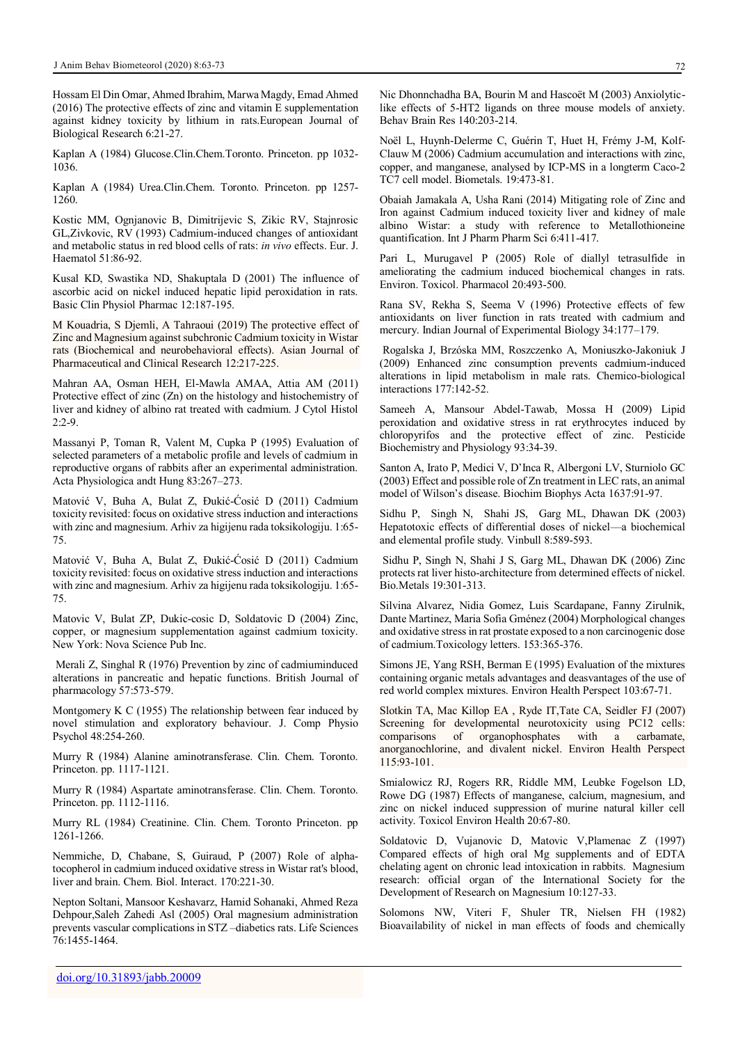Hossam El Din Omar, Ahmed Ibrahim, Marwa Magdy, Emad Ahmed (2016) The protective effects of zinc and vitamin E supplementation against kidney toxicity by lithium in rats.European Journal of Biological Research 6:21-27.

Kaplan A (1984) Glucose.Clin.Chem.Toronto. Princeton. pp 1032- 1036.

Kaplan A (1984) Urea.Clin.Chem. Toronto. Princeton. pp 1257- 1260.

Kostic MM, Ognjanovic B, Dimitrijevic S, Zikic RV, Stajnrosic GL,Zivkovic, RV (1993) Cadmium-induced changes of antioxidant and metabolic status in red blood cells of rats: *in vivo* effects. Eur. J. Haematol 51:86-92.

Kusal KD, Swastika ND, Shakuptala D (2001) The influence of ascorbic acid on nickel induced hepatic lipid peroxidation in rats. Basic Clin Physiol Pharmac 12:187-195.

M Kouadria, S Djemli, A Tahraoui (2019) The protective effect of Zinc and Magnesium against subchronic Cadmium toxicity in Wistar rats (Biochemical and neurobehavioral effects). Asian Journal of Pharmaceutical and Clinical Research 12:217-225.

Mahran AA, Osman HEH, El-Mawla AMAA, Attia AM (2011) Protective effect of zinc (Zn) on the histology and histochemistry of liver and kidney of albino rat treated with cadmium. J Cytol Histol  $2:2-9$ .

Massanyi P, Toman R, Valent M, Cupka P (1995) Evaluation of selected parameters of a metabolic profile and levels of cadmium in reproductive organs of rabbits after an experimental administration. Acta Physiologica andt Hung 83:267–273.

Matović V, Buha A, Bulat Z, Đukić-Ćosić D (2011) Cadmium toxicity revisited: focus on oxidative stress induction and interactions with zinc and magnesium. Arhiv za higijenu rada toksikologiju. 1:65- 75.

Matović V, Buha A, Bulat Z, Đukić-Ćosić D (2011) Cadmium toxicity revisited: focus on oxidative stress induction and interactions with zinc and magnesium. Arhiv za higijenu rada toksikologiju. 1:65- 75.

Matovic V, Bulat ZP, Dukic-cosic D, Soldatovic D (2004) Zinc, copper, or magnesium supplementation against cadmium toxicity. New York: Nova Science Pub Inc.

Merali Z, Singhal R (1976) Prevention by zinc of cadmiuminduced alterations in pancreatic and hepatic functions. British Journal of pharmacology 57:573-579.

Montgomery K C (1955) The relationship between fear induced by novel stimulation and exploratory behaviour. J. Comp Physio Psychol 48:254-260.

Murry R (1984) Alanine aminotransferase. Clin. Chem. Toronto. Princeton. pp. 1117-1121.

Murry R (1984) Aspartate aminotransferase. Clin. Chem. Toronto. Princeton. pp. 1112-1116.

Murry RL (1984) Creatinine. Clin. Chem. Toronto Princeton. pp 1261-1266.

Nemmiche, D, Chabane, S, Guiraud, P (2007) Role of alphatocopherol in cadmium induced oxidative stress in Wistar rat's blood, liver and brain. Chem. Biol. Interact. 170:221-30.

Nepton Soltani, Mansoor Keshavarz, Hamid Sohanaki, Ahmed Reza Dehpour,Saleh Zahedi Asl (2005) Oral magnesium administration prevents vascular complications in STZ –diabetics rats. Life Sciences 76:1455-1464.

Nic Dhonnchadha BA, Bourin M and Hascoët M (2003) Anxiolyticlike effects of 5-HT2 ligands on three mouse models of anxiety. Behav Brain Res 140:203-214.

Noël L, Huynh-Delerme C, Guérin T, Huet H, Frémy J-M, Kolf-Clauw M (2006) Cadmium accumulation and interactions with zinc, copper, and manganese, analysed by ICP-MS in a longterm Caco-2 TC7 cell model. Biometals. 19:473-81.

Obaiah Jamakala A, Usha Rani (2014) Mitigating role of Zinc and Iron against Cadmium induced toxicity liver and kidney of male albino Wistar: a study with reference to Metallothioneine quantification. Int J Pharm Pharm Sci 6:411-417.

Pari L, Murugavel P (2005) Role of diallyl tetrasulfide in ameliorating the cadmium induced biochemical changes in rats. Environ. Toxicol. Pharmacol 20:493-500.

Rana SV, Rekha S, Seema V (1996) Protective effects of few antioxidants on liver function in rats treated with cadmium and mercury. Indian Journal of Experimental Biology 34:177–179.

Rogalska J, Brzóska MM, Roszczenko A, Moniuszko-Jakoniuk J (2009) Enhanced zinc consumption prevents cadmium-induced alterations in lipid metabolism in male rats. Chemico-biological interactions 177:142-52.

Sameeh A, Mansour Abdel-Tawab, Mossa H (2009) Lipid peroxidation and oxidative stress in rat erythrocytes induced by chloropyrifos and the protective effect of zinc. Pesticide Biochemistry and Physiology 93:34-39.

Santon A, Irato P, Medici V, D'Inca R, Albergoni LV, Sturniolo GC (2003) Effect and possible role of Zn treatment in LEC rats, an animal model of Wilson's disease. Biochim Biophys Acta 1637:91-97.

Sidhu P, Singh N, Shahi JS, Garg ML, Dhawan DK (2003) Hepatotoxic effects of differential doses of nickel—a biochemical and elemental profile study. Vinbull 8:589-593.

Sidhu P, Singh N, Shahi J S, Garg ML, Dhawan DK (2006) Zinc protects rat liver histo-architecture from determined effects of nickel. Bio.Metals 19:301-313.

Silvina Alvarez, Nidia Gomez, Luis Scardapane, Fanny Zirulnik, Dante Martinez, Maria Sofia Gménez (2004) Morphological changes and oxidative stress in rat prostate exposed to a non carcinogenic dose of cadmium.Toxicology letters. 153:365-376.

Simons JE, Yang RSH, Berman E (1995) Evaluation of the mixtures containing organic metals advantages and deasvantages of the use of red world complex mixtures. Environ Health Perspect 103:67-71.

Slotkin TA, Mac Killop EA , Ryde IT,Tate CA, Seidler FJ (2007) Screening for developmental neurotoxicity using PC12 cells: comparisons of organophosphates with a carbamate, anorganochlorine, and divalent nickel. Environ Health Perspect 115:93-101.

Smialowicz RJ, Rogers RR, Riddle MM, Leubke Fogelson LD, Rowe DG (1987) Effects of manganese, calcium, magnesium, and zinc on nickel induced suppression of murine natural killer cell activity. Toxicol Environ Health 20:67-80.

Soldatovic D, Vujanovic D, Matovic V,Plamenac Z (1997) Compared effects of high oral Mg supplements and of EDTA chelating agent on chronic lead intoxication in rabbits. Magnesium research: official organ of the International Society for the Development of Research on Magnesium 10:127-33.

Solomons NW, Viteri F, Shuler TR, Nielsen FH (1982) Bioavailability of nickel in man effects of foods and chemically